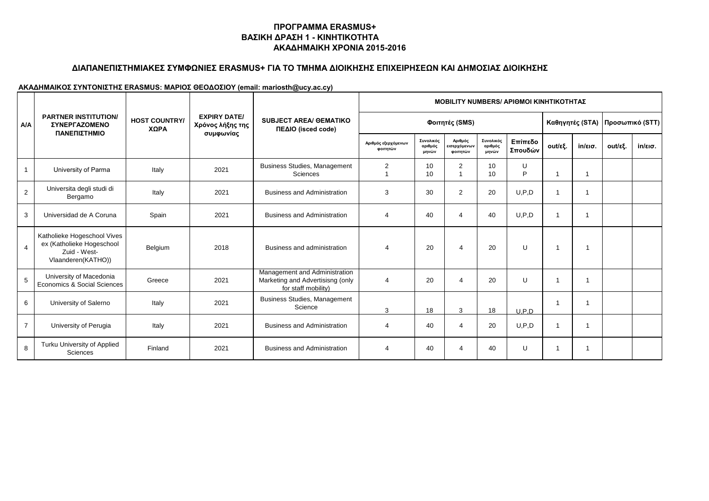### **ΔΙΑΠΑΝΕΠΙΣΤΗΜΙΑΚΕΣ ΣΥΜΦΩΝΙΕΣ ERASMUS+ ΓΙΑ ΤΟ ΤΜΗΜΑ ΔΙΟΙΚΗΣΗΣ ΕΠΙΧΕΙΡΗΣΕΩΝ ΚΑΙ ΔΗΜΟΣΙΑΣ ΔΙΟΙΚΗΣΗΣ**

| A/A            |                                                                                                |                              |                                                      |                                                                                          | <b>MOBILITY NUMBERS/ ΑΡΙΘΜΟΙ ΚΙΝΗΤΙΚΟΤΗΤΑΣ</b> |                               |                                     |                               |                    |                |                   |                                 |                   |
|----------------|------------------------------------------------------------------------------------------------|------------------------------|------------------------------------------------------|------------------------------------------------------------------------------------------|------------------------------------------------|-------------------------------|-------------------------------------|-------------------------------|--------------------|----------------|-------------------|---------------------------------|-------------------|
|                | <b>PARTNER INSTITUTION/</b><br><b>ΣΥΝΕΡΓΑΖΟΜΕΝΟ</b><br>ΠΑΝΕΠΙΣΤΗΜΙΟ                            | <b>HOST COUNTRY/</b><br>ΧΩΡΑ | <b>EXPIRY DATE/</b><br>Χρόνος λήξης της<br>συμφωνίας | <b>SUBJECT AREA/ OEMATIKO</b><br>ΠΕΔΙΟ (isced code)                                      | Φοιτητές (SMS)                                 |                               |                                     |                               |                    |                |                   | Καθηγητές (STA) Προσωπικό (STT) |                   |
|                |                                                                                                |                              |                                                      |                                                                                          | Αριθμός εξερχόμενων<br>φοιτητών                | Συνολικός<br>αριθμός<br>μηνών | Αριθμός<br>εισερχόμενων<br>φοιτητών | Συνολικός<br>αριθμός<br>μηνών | Επίπεδο<br>Σπουδών | out/εξ.        | $in/\epsilon$ ισ. | out/εξ.                         | $in/\epsilon$ ισ. |
|                | University of Parma                                                                            | Italy                        | 2021                                                 | <b>Business Studies, Management</b><br>Sciences                                          | 2                                              | 10<br>10                      | 2                                   | 10<br>10                      | U<br>P             | 1              | 1                 |                                 |                   |
| $\overline{2}$ | Universita degli studi di<br>Bergamo                                                           | Italy                        | 2021                                                 | <b>Business and Administration</b>                                                       | 3                                              | 30                            | $\overline{2}$                      | 20                            | U.P.D              | $\mathbf{1}$   |                   |                                 |                   |
| 3              | Universidad de A Coruna                                                                        | Spain                        | 2021                                                 | <b>Business and Administration</b>                                                       | $\overline{4}$                                 | 40                            | $\overline{4}$                      | 40                            | U.P.D              | $\overline{1}$ | 1                 |                                 |                   |
| $\overline{4}$ | Katholieke Hogeschool Vives<br>ex (Katholieke Hogeschool<br>Zuid - West-<br>Vlaanderen(KATHO)) | Belgium                      | 2018                                                 | Business and administration                                                              | $\overline{4}$                                 | 20                            | $\overline{4}$                      | 20                            | U                  | $\mathbf{1}$   | 1                 |                                 |                   |
| 5              | University of Macedonia<br>Economics & Social Sciences                                         | Greece                       | 2021                                                 | Management and Administration<br>Marketing and Advertisisng (only<br>for staff mobility) | 4                                              | 20                            | $\overline{4}$                      | 20                            | U                  | -1             | -1                |                                 |                   |
| 6              | University of Salerno                                                                          | Italy                        | 2021                                                 | <b>Business Studies, Management</b><br>Science                                           | 3                                              | 18                            | 3                                   | 18                            | U.P.D              | $\mathbf 1$    | 1                 |                                 |                   |
| $\overline{7}$ | University of Perugia                                                                          | Italy                        | 2021                                                 | <b>Business and Administration</b>                                                       | 4                                              | 40                            | $\overline{4}$                      | 20                            | U.P.D              | $\overline{1}$ | 1                 |                                 |                   |
| 8              | Turku University of Applied<br>Sciences                                                        | Finland                      | 2021                                                 | <b>Business and Administration</b>                                                       | 4                                              | 40                            | 4                                   | 40                            | U                  | -1             | 1                 |                                 |                   |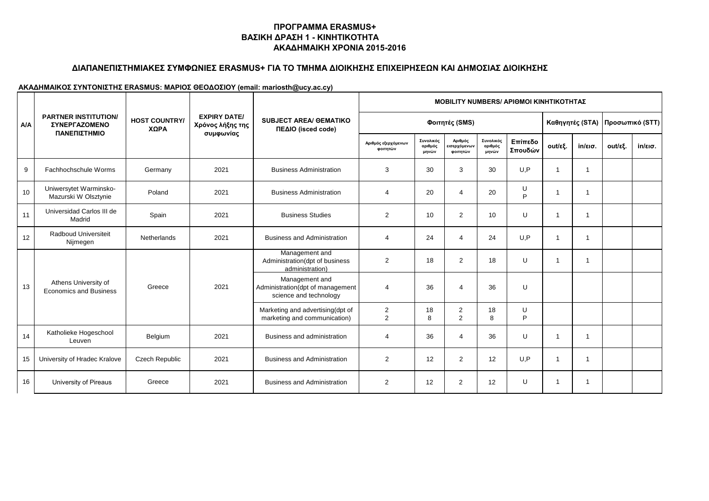### **ΔΙΑΠΑΝΕΠΙΣΤΗΜΙΑΚΕΣ ΣΥΜΦΩΝΙΕΣ ERASMUS+ ΓΙΑ ΤΟ ΤΜΗΜΑ ΔΙΟΙΚΗΣΗΣ ΕΠΙΧΕΙΡΗΣΕΩΝ ΚΑΙ ΔΗΜΟΣΙΑΣ ΔΙΟΙΚΗΣΗΣ**

|            |                                                                                                                         |                                         |                                                     |                                                                              |                                 |                               |                                          |                               | <b>MOBILITY NUMBERS/ APIOMOI KINHTIKOTHTAΣ</b> |                         |                   |         |                   |  |
|------------|-------------------------------------------------------------------------------------------------------------------------|-----------------------------------------|-----------------------------------------------------|------------------------------------------------------------------------------|---------------------------------|-------------------------------|------------------------------------------|-------------------------------|------------------------------------------------|-------------------------|-------------------|---------|-------------------|--|
| <b>A/A</b> | <b>PARTNER INSTITUTION/</b><br><b>HOST COUNTRY/</b><br><b><i>ΣΥΝΕΡΓΑΖΟΜΕΝΟ</i></b><br>ΧΩΡΑ<br>ΠΑΝΕΠΙΣΤΗΜΙΟ<br>συμφωνίας | <b>EXPIRY DATE/</b><br>Χρόνος λήξης της | <b>SUBJECT AREA/ OEMATIKO</b><br>ΠΕΔΙΟ (isced code) | Φοιτητές (SMS)                                                               |                                 |                               |                                          |                               |                                                | Καθηγητές (STA)         | Προσωπικό (STT)   |         |                   |  |
|            |                                                                                                                         |                                         |                                                     |                                                                              | Αριθμός εξερχόμενων<br>φοιτητών | Συνολικός<br>αριθμός<br>μηνών | Αριθμός<br>.<br>εισερχόμενων<br>φοιτητών | Συνολικός<br>αριθμός<br>μηνών | Επίπεδο<br>Σπουδών                             | out/εξ.                 | $in/\epsilon$ ισ. | out/εξ. | $in/\epsilon$ ισ. |  |
| 9          | Fachhochschule Worms                                                                                                    | Germany                                 | 2021                                                | <b>Business Administration</b>                                               | 3                               | 30                            | 3                                        | 30                            | U.P                                            | $\overline{1}$          | 1                 |         |                   |  |
| 10         | Uniwersytet Warminsko-<br>Mazurski W Olsztynie                                                                          | Poland                                  | 2021                                                | <b>Business Administration</b>                                               | 4                               | 20                            | $\overline{4}$                           | 20                            | U<br>P                                         | -1                      | 1                 |         |                   |  |
| 11         | Universidad Carlos III de<br>Madrid                                                                                     | Spain                                   | 2021                                                | <b>Business Studies</b>                                                      | 2                               | 10                            | $\overline{2}$                           | 10                            | U                                              | $\overline{1}$          |                   |         |                   |  |
| 12         | <b>Radboud Universiteit</b><br>Nijmegen                                                                                 | Netherlands                             | 2021                                                | <b>Business and Administration</b>                                           | 4                               | 24                            | $\overline{4}$                           | 24                            | U.P                                            | $\overline{\mathbf{1}}$ | 1                 |         |                   |  |
|            | Athens University of<br><b>Economics and Business</b>                                                                   | Greece                                  |                                                     | Management and<br>Administration(dpt of business<br>administration)          | $\overline{2}$                  | 18                            | 2                                        | 18                            | $\cup$                                         | $\overline{1}$          | 1                 |         |                   |  |
| 13         |                                                                                                                         |                                         | 2021                                                | Management and<br>Administration(dpt of management<br>science and technology | 4                               | 36                            | $\overline{4}$                           | 36                            | U                                              |                         |                   |         |                   |  |
|            |                                                                                                                         |                                         |                                                     | Marketing and advertising(dpt of<br>marketing and communication)             | 2<br>2                          | 18<br>8                       | 2<br>2                                   | 18<br>8                       | U<br>P                                         |                         |                   |         |                   |  |
| 14         | Katholieke Hogeschool<br>Leuven                                                                                         | Belgium                                 | 2021                                                | Business and administration                                                  | 4                               | 36                            | $\overline{4}$                           | 36                            | U                                              | $\overline{1}$          | $\mathbf{1}$      |         |                   |  |
| 15         | University of Hradec Kralove                                                                                            | <b>Czech Republic</b>                   | 2021                                                | <b>Business and Administration</b>                                           | 2                               | 12                            | 2                                        | 12                            | U.P                                            | $\overline{1}$          | -1                |         |                   |  |
| 16         | University of Pireaus                                                                                                   | Greece                                  | 2021                                                | <b>Business and Administration</b>                                           | 2                               | 12                            | 2                                        | 12                            | U                                              | $\overline{\mathbf{1}}$ | -1                |         |                   |  |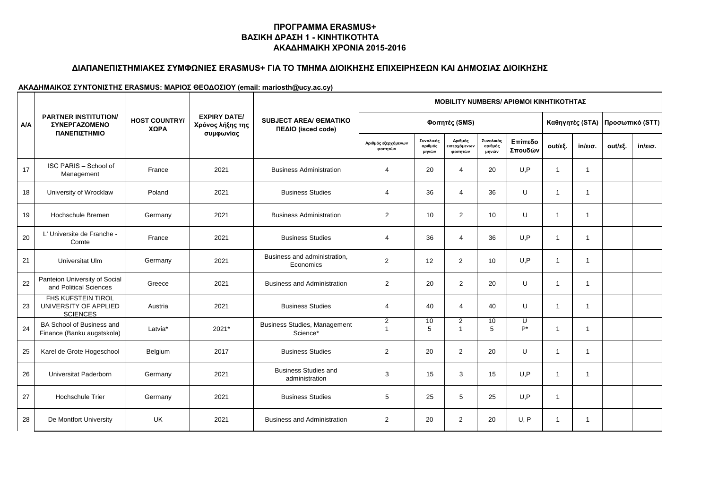### **ΔΙΑΠΑΝΕΠΙΣΤΗΜΙΑΚΕΣ ΣΥΜΦΩΝΙΕΣ ERASMUS+ ΓΙΑ ΤΟ ΤΜΗΜΑ ΔΙΟΙΚΗΣΗΣ ΕΠΙΧΕΙΡΗΣΕΩΝ ΚΑΙ ΔΗΜΟΣΙΑΣ ΔΙΟΙΚΗΣΗΣ**

|            |                                                                       |                              |                                                      |                                                     | <b>MOBILITY NUMBERS/ APIOMOI KINHTIKOTHTAΣ</b> |                               |                                     |                               |                    |                |                   |                 |                   |
|------------|-----------------------------------------------------------------------|------------------------------|------------------------------------------------------|-----------------------------------------------------|------------------------------------------------|-------------------------------|-------------------------------------|-------------------------------|--------------------|----------------|-------------------|-----------------|-------------------|
| <b>A/A</b> | <b>PARTNER INSTITUTION/</b><br><b>ΣΥΝΕΡΓΑΖΟΜΕΝΟ</b>                   | <b>HOST COUNTRY/</b><br>ΧΩΡΑ | <b>EXPIRY DATE/</b><br>Χρόνος λήξης της<br>συμφωνίας | <b>SUBJECT AREA/ OEMATIKO</b><br>ΠΕΔΙΟ (isced code) | Φοιτητές (SMS)                                 |                               |                                     |                               |                    |                | Καθηγητές (STA)   | Προσωπικό (STT) |                   |
|            | ΠΑΝΕΠΙΣΤΗΜΙΟ                                                          |                              |                                                      |                                                     | Αριθμός εξερχόμενων<br>φοιτητών                | Συνολικός<br>αριθμός<br>μηνών | Αριθμός<br>εισερχόμενων<br>φοιτητών | Συνολικός<br>αριθμός<br>μηνών | Επίπεδο<br>Σπουδών | out/εξ.        | $in/\epsilon$ ισ. | out/εξ.         | $in/\epsilon$ ισ. |
| 17         | ISC PARIS - School of<br>Management                                   | France                       | 2021                                                 | <b>Business Administration</b>                      | $\overline{4}$                                 | 20                            | $\overline{4}$                      | 20                            | U.P                | $\overline{1}$ | $\mathbf{1}$      |                 |                   |
| 18         | University of Wrocklaw                                                | Poland                       | 2021                                                 | <b>Business Studies</b>                             | 4                                              | 36                            | $\overline{4}$                      | 36                            | U                  | $\overline{1}$ | 1                 |                 |                   |
| 19         | Hochschule Bremen                                                     | Germany                      | 2021                                                 | <b>Business Administration</b>                      | 2                                              | 10                            | 2                                   | 10                            | U                  | $\overline{1}$ | 1                 |                 |                   |
| 20         | L' Universite de Franche -<br>Comte                                   | France                       | 2021                                                 | <b>Business Studies</b>                             | $\overline{4}$                                 | 36                            | $\overline{4}$                      | 36                            | U.P                | $\overline{1}$ | 1                 |                 |                   |
| 21         | Universitat Ulm                                                       | Germany                      | 2021                                                 | Business and administration,<br>Economics           | 2                                              | 12                            | $\overline{2}$                      | 10                            | U.P                | $\overline{1}$ | $\mathbf{1}$      |                 |                   |
| 22         | Panteion University of Social<br>and Political Sciences               | Greece                       | 2021                                                 | <b>Business and Administration</b>                  | 2                                              | 20                            | $\overline{2}$                      | 20                            | U                  | $\overline{1}$ | $\mathbf{1}$      |                 |                   |
| 23         | <b>FHS KUFSTEIN TIROL</b><br>UNIVERSITY OF APPLIED<br><b>SCIENCES</b> | Austria                      | 2021                                                 | <b>Business Studies</b>                             | $\overline{4}$                                 | 40                            | $\overline{4}$                      | 40                            | $\cup$             | $\overline{1}$ | $\mathbf{1}$      |                 |                   |
| 24         | BA School of Business and<br>Finance (Banku augstskola)               | Latvia*                      | 2021*                                                | <b>Business Studies, Management</b><br>Science*     | $\overline{2}$<br>$\overline{1}$               | 10<br>5                       | $\overline{2}$<br>-1                | 10<br>5                       | U<br>$P^*$         | $\overline{1}$ | $\mathbf{1}$      |                 |                   |
| 25         | Karel de Grote Hogeschool                                             | Belgium                      | 2017                                                 | <b>Business Studies</b>                             | 2                                              | 20                            | 2                                   | 20                            | U                  | $\overline{1}$ | $\mathbf{1}$      |                 |                   |
| 26         | Universitat Paderborn                                                 | Germany                      | 2021                                                 | <b>Business Studies and</b><br>administration       | 3                                              | 15                            | 3                                   | 15                            | U.P                | $\overline{1}$ | 1                 |                 |                   |
| 27         | <b>Hochschule Trier</b>                                               | Germany                      | 2021                                                 | <b>Business Studies</b>                             | 5                                              | 25                            | 5                                   | 25                            | U.P                | $\overline{1}$ |                   |                 |                   |
| 28         | De Montfort University                                                | <b>UK</b>                    | 2021                                                 | <b>Business and Administration</b>                  | 2                                              | 20                            | 2                                   | 20                            | U, P               | $\overline{1}$ | 1                 |                 |                   |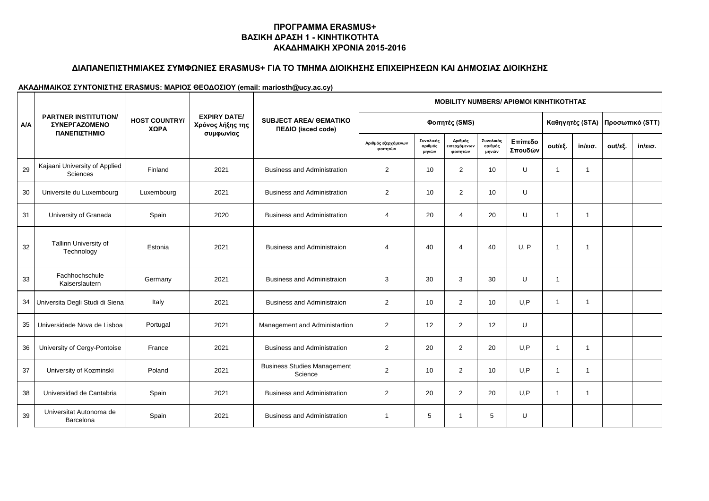# **ΔΙΑΠΑΝΕΠΙΣΤΗΜΙΑΚΕΣ ΣΥΜΦΩΝΙΕΣ ERASMUS+ ΓΙΑ ΤΟ ΤΜΗΜΑ ΔΙΟΙΚΗΣΗΣ ΕΠΙΧΕΙΡΗΣΕΩΝ ΚΑΙ ΔΗΜΟΣΙΑΣ ΔΙΟΙΚΗΣΗΣ**

|            |                                                            |                              |                                         |                                                     |                                 |                               |                                     |                               | <b>MOBILITY NUMBERS/ ΑΡΙΘΜΟΙ ΚΙΝΗΤΙΚΟΤΗΤΑΣ</b> |                 |              |         |                   |
|------------|------------------------------------------------------------|------------------------------|-----------------------------------------|-----------------------------------------------------|---------------------------------|-------------------------------|-------------------------------------|-------------------------------|------------------------------------------------|-----------------|--------------|---------|-------------------|
| <b>A/A</b> | <b>PARTNER INSTITUTION/</b><br><b><i>ΣΥΝΕΡΓΑΖΟΜΕΝΟ</i></b> | <b>HOST COUNTRY/</b><br>ΧΩΡΑ | <b>EXPIRY DATE/</b><br>Χρόνος λήξης της | <b>SUBJECT AREA/ OEMATIKO</b><br>ΠΕΔΙΟ (isced code) |                                 |                               | Φοιτητές (SMS)                      |                               |                                                | Καθηγητές (STA) |              |         | Προσωπικό (STT)   |
|            | ΠΑΝΕΠΙΣΤΗΜΙΟ                                               |                              | συμφωνίας                               |                                                     | Αριθμός εξερχόμενων<br>φοιτητών | Συνολικός<br>αριθμός<br>μηνών | Αριθμός<br>εισερχόμενων<br>φοιτητών | Συνολικός<br>αριθμός<br>μηνών | Επίπεδο<br>Σπουδών                             | out/εξ.         | in/εισ.      | out/εξ. | $in/\epsilon$ ισ. |
| 29         | Kajaani University of Applied<br>Sciences                  | Finland                      | 2021                                    | <b>Business and Administration</b>                  | $\overline{2}$                  | 10                            | $\overline{2}$                      | 10                            | U                                              | $\overline{1}$  | $\mathbf{1}$ |         |                   |
| 30         | Universite du Luxembourg                                   | Luxembourg                   | 2021                                    | <b>Business and Administration</b>                  | $\overline{2}$                  | 10                            | 2                                   | 10                            | U                                              |                 |              |         |                   |
| 31         | University of Granada                                      | Spain                        | 2020                                    | <b>Business and Administration</b>                  | 4                               | 20                            | $\overline{4}$                      | 20                            | U                                              | $\overline{1}$  | $\mathbf{1}$ |         |                   |
| 32         | Tallinn University of<br>Technology                        | Estonia                      | 2021                                    | <b>Business and Administraion</b>                   | $\overline{a}$                  | 40                            | $\overline{4}$                      | 40                            | U, P                                           | $\overline{1}$  | 1            |         |                   |
| 33         | Fachhochschule<br>Kaiserslautern                           | Germany                      | 2021                                    | <b>Business and Administraion</b>                   | 3                               | 30                            | 3                                   | 30                            | U                                              | $\overline{1}$  |              |         |                   |
|            | 34 Universita Degli Studi di Siena                         | Italy                        | 2021                                    | <b>Business and Administraion</b>                   | 2                               | 10                            | 2                                   | 10                            | U.P                                            | $\overline{1}$  | 1            |         |                   |
| 35         | Universidade Nova de Lisboa                                | Portugal                     | 2021                                    | Management and Administartion                       | 2                               | 12                            | 2                                   | 12                            | U                                              |                 |              |         |                   |
| 36         | University of Cergy-Pontoise                               | France                       | 2021                                    | <b>Business and Administration</b>                  | 2                               | 20                            | 2                                   | 20                            | U.P                                            | $\overline{1}$  | $\mathbf{1}$ |         |                   |
| 37         | University of Kozminski                                    | Poland                       | 2021                                    | <b>Business Studies Management</b><br>Science       | $\overline{2}$                  | 10                            | 2                                   | 10                            | U.P                                            | $\overline{1}$  | 1            |         |                   |
| 38         | Universidad de Cantabria                                   | Spain                        | 2021                                    | <b>Business and Administration</b>                  | $\overline{2}$                  | 20                            | $\overline{2}$                      | 20                            | U, P                                           | $\overline{1}$  | 1            |         |                   |
| 39         | Universitat Autonoma de<br>Barcelona                       | Spain                        | 2021                                    | <b>Business and Administration</b>                  | -1                              | 5                             |                                     | 5                             | U                                              |                 |              |         |                   |